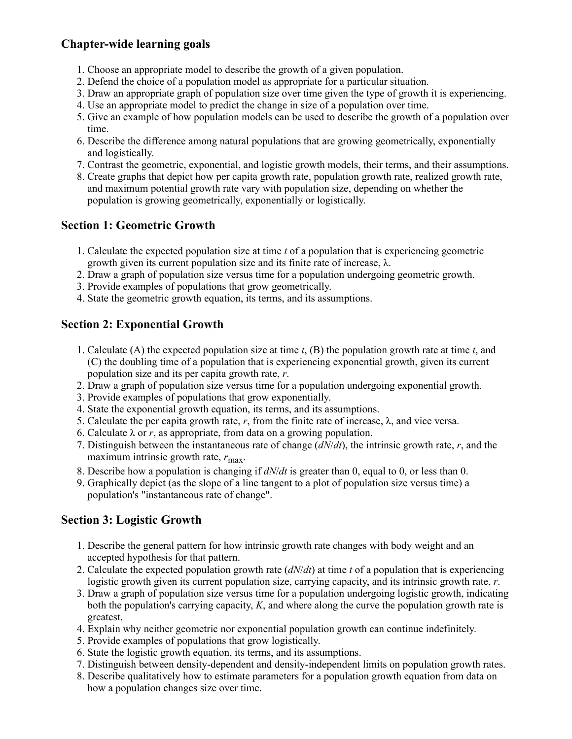# **Chapter-wide learning goals**

- 1. Choose an appropriate model to describe the growth of a given population.
- 2. Defend the choice of a population model as appropriate for a particular situation.
- 3. Draw an appropriate graph of population size over time given the type of growth it is experiencing.
- 4. Use an appropriate model to predict the change in size of a population over time.
- 5. Give an example of how population models can be used to describe the growth of a population over time.
- 6. Describe the difference among natural populations that are growing geometrically, exponentially and logistically.
- 7. Contrast the geometric, exponential, and logistic growth models, their terms, and their assumptions.
- 8. Create graphs that depict how per capita growth rate, population growth rate, realized growth rate, and maximum potential growth rate vary with population size, depending on whether the population is growing geometrically, exponentially or logistically.

# **Section 1: Geometric Growth**

- 1. Calculate the expected population size at time *t* of a population that is experiencing geometric growth given its current population size and its finite rate of increase, λ.
- 2. Draw a graph of population size versus time for a population undergoing geometric growth.
- 3. Provide examples of populations that grow geometrically.
- 4. State the geometric growth equation, its terms, and its assumptions.

# **Section 2: Exponential Growth**

- 1. Calculate (A) the expected population size at time *t*, (B) the population growth rate at time *t*, and (C) the doubling time of a population that is experiencing exponential growth, given its current population size and its per capita growth rate, *r*.
- 2. Draw a graph of population size versus time for a population undergoing exponential growth.
- 3. Provide examples of populations that grow exponentially.
- 4. State the exponential growth equation, its terms, and its assumptions.
- 5. Calculate the per capita growth rate,  $r$ , from the finite rate of increase,  $\lambda$ , and vice versa.
- 6. Calculate  $\lambda$  or *r*, as appropriate, from data on a growing population.
- 7. Distinguish between the instantaneous rate of change (*dN*/*dt*), the intrinsic growth rate, *r*, and the maximum intrinsic growth rate,  $r_{\text{max}}$ .
- 8. Describe how a population is changing if *dN*/*dt* is greater than 0, equal to 0, or less than 0.
- 9. Graphically depict (as the slope of a line tangent to a plot of population size versus time) a population's "instantaneous rate of change".

# **Section 3: Logistic Growth**

- 1. Describe the general pattern for how intrinsic growth rate changes with body weight and an accepted hypothesis for that pattern.
- 2. Calculate the expected population growth rate (*dN*/*dt*) at time *t* of a population that is experiencing logistic growth given its current population size, carrying capacity, and its intrinsic growth rate, *r*.
- 3. Draw a graph of population size versus time for a population undergoing logistic growth, indicating both the population's carrying capacity, *K*, and where along the curve the population growth rate is greatest.
- 4. Explain why neither geometric nor exponential population growth can continue indefinitely.
- 5. Provide examples of populations that grow logistically.
- 6. State the logistic growth equation, its terms, and its assumptions.
- 7. Distinguish between density-dependent and density-independent limits on population growth rates.
- 8. Describe qualitatively how to estimate parameters for a population growth equation from data on how a population changes size over time.